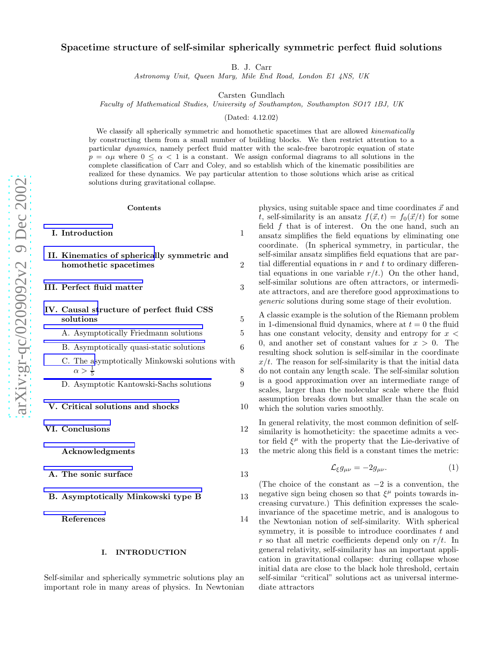## <span id="page-0-0"></span>Spacetime structure of self-similar spherically symmetric perfect fluid solutions

B. J. Carr

Astronomy Unit, Queen Mary, Mile End Road, London E1 4NS, UK

Carsten Gundlach

Faculty of Mathematical Studies, University of Southampton, Southampton SO17 1BJ, UK

(Dated: 4.12.02)

We classify all spherically symmetric and homothetic spacetimes that are allowed kinematically by constructing them from a small number of building blocks. We then restrict attention to a particular dynamics, namely perfect fluid matter with the scale-free barotropic equation of state  $p = \alpha \mu$  where  $0 \le \alpha < 1$  is a constant. We assign conformal diagrams to all solutions in the complete classification of Carr and Coley, and so establish which of the kinematic possibilities are realized for these dynamics. We pay particular attention to those solutions which arise as critical solutions during gravitational collapse.

3

#### Contents

| I. Introduction |  |
|-----------------|--|
|-----------------|--|

[II. Kinematics of spherica](#page-1-0)lly symmetric and homothetic spacetimes 2

III. Perfect fluid matter

# [IV. Causal st](#page-4-0)ructure of perfect fluid CSS solutions 5 A. Asymptotically Friedmann solutions 5 B. Asymptotically quasi-static solutions 6 [C. The as](#page-7-0)ymptotically Minkowski solutions with  $\alpha > \frac{1}{5}$ 8 D. Asymptotic Kantowski-Sachs solutions 9 V. Critical solutions and shocks 10 VI. Conclusions 12 Acknowledgments 13 A. The sonic surface 13 B. Asymptotically Minkowski type B 13

## References 14

## I. INTRODUCTION

Self-similar and spherically symmetric solutions play an important role in many areas of physics. In Newtonian

physics, using suitable space and time coordinates  $\vec{x}$  and t, self-similarity is an ansatz  $f(\vec{x}, t) = f_0(\vec{x}/t)$  for some field  $f$  that is of interest. On the one hand, such an ansatz simplifies the field equations by eliminating one coordinate. (In spherical symmetry, in particular, the self-similar ansatz simplifies field equations that are partial differential equations in  $r$  and  $t$  to ordinary differential equations in one variable  $r/t$ .) On the other hand, self-similar solutions are often attractors, or intermediate attractors, and are therefore good approximations to generic solutions during some stage of their evolution.

A classic example is the solution of the Riemann problem in 1-dimensional fluid dynamics, where at  $t = 0$  the fluid has one constant velocity, density and entropy for  $x <$ 0, and another set of constant values for  $x > 0$ . The resulting shock solution is self-similar in the coordinate  $x/t$ . The reason for self-similarity is that the initial data do not contain any length scale. The self-similar solution is a good approximation over an intermediate range of scales, larger than the molecular scale where the fluid assumption breaks down but smaller than the scale on which the solution varies smoothly.

In general relativity, the most common definition of selfsimilarity is homotheticity: the spacetime admits a vector field  $\xi^{\mu}$  with the property that the Lie-derivative of the metric along this field is a constant times the metric:

$$
\mathcal{L}_{\xi}g_{\mu\nu} = -2g_{\mu\nu}.\tag{1}
$$

(The choice of the constant as  $-2$  is a convention, the negative sign being chosen so that  $\xi^{\mu}$  points towards increasing curvature.) This definition expresses the scaleinvariance of the spacetime metric, and is analogous to the Newtonian notion of self-similarity. With spherical symmetry, it is possible to introduce coordinates  $t$  and r so that all metric coefficients depend only on  $r/t$ . In general relativity, self-similarity has an important application in gravitational collapse: during collapse whose initial data are close to the black hole threshold, certain self-similar "critical" solutions act as universal intermediate attractors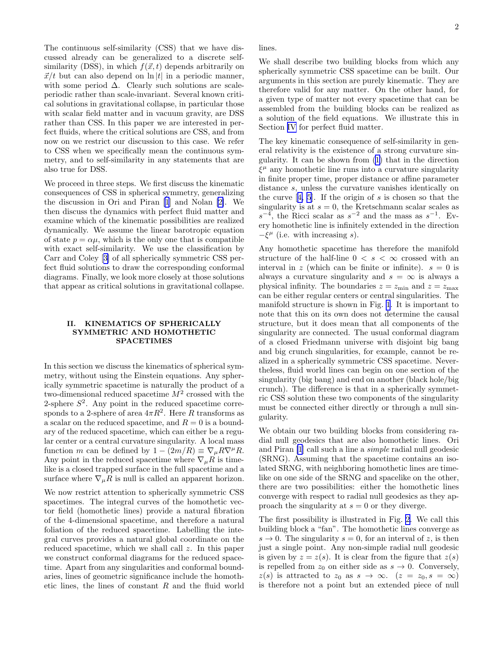<span id="page-1-0"></span>The continuous self-similarity (CSS) that we have discussed already can be generalized to a discrete selfsimilarity (DSS), in which  $f(\vec{x}, t)$  depends arbitrarily on  $\vec{x}/t$  but can also depend on  $\ln|t|$  in a periodic manner, with some period  $\Delta$ . Clearly such solutions are scaleperiodic rather than scale-invariant. Several known critical solutions in gravitational collapse, in particular those with scalar field matter and in vacuum gravity, are DSS rather than CSS. In this paper we are interested in perfect fluids, where the critical solutions are CSS, and from now on we restrict our discussion to this case. We refer to CSS when we specifically mean the continuous symmetry, and to self-similarity in any statements that are also true for DSS.

We proceed in three steps. We first discuss the kinematic consequences of CSS in spherical symmetry, generalizing the discussion in Ori and Piran [\[1](#page-13-0)] and Nolan [\[2\]](#page-13-0). We then discuss the dynamics with perfect fluid matter and examine which of the kinematic possibilities are realized dynamically. We assume the linear barotropic equation of state  $p = \alpha \mu$ , which is the only one that is compatible with exact self-similarity. We use the classification by Carr and Coley[[3\]](#page-13-0) of all spherically symmetric CSS perfect fluid solutions to draw the corresponding conformal diagrams. Finally, we look more closely at those solutions that appear as critical solutions in gravitational collapse.

### II. KINEMATICS OF SPHERICALLY SYMMETRIC AND HOMOTHETIC SPACETIMES

In this section we discuss the kinematics of spherical symmetry, without using the Einstein equations. Any spherically symmetric spacetime is naturally the product of a two-dimensional reduced spacetime  $M^2$  crossed with the 2-sphere  $S^2$ . Any point in the reduced spacetime corresponds to a 2-sphere of area  $4\pi R^2$ . Here R transforms as a scalar on the reduced spacetime, and  $R = 0$  is a boundary of the reduced spacetime, which can either be a regular center or a central curvature singularity. A local mass function m can be defined by  $1 - (2m/R) \equiv \nabla_{\mu} R \nabla^{\mu} R$ . Any point in the reduced spacetime where  $\nabla_{\mu}R$  is timelike is a closed trapped surface in the full spacetime and a surface where  $\nabla_{\mu}R$  is null is called an apparent horizon.

We now restrict attention to spherically symmetric CSS spacetimes. The integral curves of the homothetic vector field (homothetic lines) provide a natural fibration of the 4-dimensional spacetime, and therefore a natural foliation of the reduced spacetime. Labelling the integral curves provides a natural global coordinate on the reduced spacetime, which we shall call z. In this paper we construct conformal diagrams for the reduced spacetime. Apart from any singularities and conformal boundaries, lines of geometric significance include the homothetic lines, the lines of constant  $R$  and the fluid world lines.

We shall describe two building blocks from which any spherically symmetric CSS spacetime can be built. Our arguments in this section are purely kinematic. They are therefore valid for any matter. On the other hand, for a given type of matter not every spacetime that can be assembled from the building blocks can be realized as a solution of the field equations. We illustrate this in Section [IV](#page-4-0) for perfect fluid matter.

The key kinematic consequence of self-similarity in general relativity is the existence of a strong curvature singularity. It can be shown from([1\)](#page-0-0) that in the direction  $\xi^{\mu}$  any homothetic line runs into a curvature singularity in finite proper time, proper distance or affine parameter distance s, unless the curvature vanishes identically on thecurve  $[4, 5]$  $[4, 5]$  $[4, 5]$ . If the origin of s is chosen so that the singularity is at  $s = 0$ , the Kretschmann scalar scales as  $s^{-4}$ , the Ricci scalar as  $s^{-2}$  and the mass as  $s^{-1}$ . Every homothetic line is infinitely extended in the direction  $-\xi^{\mu}$  (i.e. with increasing s).

Any homothetic spacetime has therefore the manifold structure of the half-line  $0 < s < \infty$  crossed with an interval in z (which can be finite or infinite).  $s = 0$  is always a curvature singularity and  $s = \infty$  is always a physical infinity. The boundaries  $z = z_{\text{min}}$  and  $z = z_{\text{max}}$ can be either regular centers or central singularities. The manifold structure is shown in Fig. [1](#page-2-0). It is important to note that this on its own does not determine the causal structure, but it does mean that all components of the singularity are connected. The usual conformal diagram of a closed Friedmann universe with disjoint big bang and big crunch singularities, for example, cannot be realized in a spherically symmetric CSS spacetime. Nevertheless, fluid world lines can begin on one section of the singularity (big bang) and end on another (black hole/big crunch). The difference is that in a spherically symmetric CSS solution these two components of the singularity must be connected either directly or through a null singularity.

We obtain our two building blocks from considering radial null geodesics that are also homothetic lines. Ori and Piran [\[1](#page-13-0)] call such a line a simple radial null geodesic (SRNG). Assuming that the spacetime contains an isolated SRNG, with neighboring homothetic lines are timelike on one side of the SRNG and spacelike on the other, there are two possibilities: either the homothetic lines converge with respect to radial null geodesics as they approach the singularity at  $s = 0$  or they diverge.

The first possibility is illustrated in Fig. [2](#page-2-0). We call this building block a "fan". The homothetic lines converge as  $s \to 0$ . The singularity  $s = 0$ , for an interval of z, is then just a single point. Any non-simple radial null geodesic is given by  $z = z(s)$ . It is clear from the figure that  $z(s)$ is repelled from  $z_0$  on either side as  $s \to 0$ . Conversely,  $z(s)$  is attracted to  $z_0$  as  $s \to \infty$ .  $(z = z_0, s = \infty)$ is therefore not a point but an extended piece of null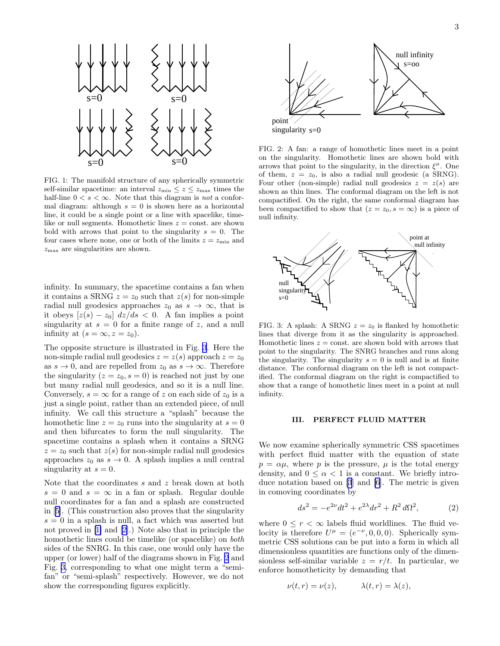<span id="page-2-0"></span>

FIG. 1: The manifold structure of any spherically symmetric self-similar spacetime: an interval  $z_{\text{min}} \leq z \leq z_{\text{max}}$  times the half-line  $0 < s < \infty$ . Note that this diagram is not a conformal diagram: although  $s = 0$  is shown here as a horizontal line, it could be a single point or a line with spacelike, timelike or null segments. Homothetic lines  $z = \text{const.}$  are shown bold with arrows that point to the singularity  $s = 0$ . The four cases where none, one or both of the limits  $z = z_{\text{min}}$  and  $z_{\text{max}}$  are singularities are shown.

infinity. In summary, the spacetime contains a fan when it contains a SRNG  $z = z_0$  such that  $z(s)$  for non-simple radial null geodesics approaches  $z_0$  as  $s \to \infty$ , that is it obeys  $[z(s) - z_0] dz/ds < 0$ . A fan implies a point singularity at  $s = 0$  for a finite range of z, and a null infinity at  $(s = \infty, z = z_0)$ .

The opposite structure is illustrated in Fig. 3. Here the non-simple radial null geodesics  $z = z(s)$  approach  $z = z_0$ as  $s \to 0$ , and are repelled from  $z_0$  as  $s \to \infty$ . Therefore the singularity  $(z = z_0, s = 0)$  is reached not just by one but many radial null geodesics, and so it is a null line. Conversely,  $s = \infty$  for a range of z on each side of  $z_0$  is a just a single point, rather than an extended piece, of null infinity. We call this structure a "splash" because the homothetic line  $z = z_0$  runs into the singularity at  $s = 0$ and then bifurcates to form the null singularity. The spacetime contains a splash when it contains a SRNG  $z = z_0$  such that  $z(s)$  for non-simple radial null geodesics approaches  $z_0$  as  $s \to 0$ . A splash implies a null central singularity at  $s = 0$ .

Note that the coordinates  $s$  and  $z$  break down at both  $s = 0$  and  $s = \infty$  in a fan or splash. Regular double null coordinates for a fan and a splash are constructed in[[5\]](#page-13-0). (This construction also proves that the singularity  $s = 0$  in a splash is null, a fact which was asserted but not proved in [\[1\]](#page-13-0) and[[2](#page-13-0)].) Note also that in principle the homothetic lines could be timelike (or spacelike) on both sides of the SNRG. In this case, one would only have the upper (or lower) half of the diagrams shown in Fig. 2 and Fig. 3, corresponding to what one might term a "semifan" or "semi-splash" respectively. However, we do not show the corresponding figures explicitly.



FIG. 2: A fan: a range of homothetic lines meet in a point on the singularity. Homothetic lines are shown bold with arrows that point to the singularity, in the direction  $\xi^{\mu}$ . One of them,  $z = z_0$ , is also a radial null geodesic (a SRNG). Four other (non-simple) radial null geodesics  $z = z(s)$  are shown as thin lines. The conformal diagram on the left is not compactified. On the right, the same conformal diagram has been compactified to show that  $(z = z_0, s = \infty)$  is a piece of null infinity.



FIG. 3: A splash: A SRNG  $z = z_0$  is flanked by homothetic lines that diverge from it as the singularity is approached. Homothetic lines  $z = \text{const.}$  are shown bold with arrows that point to the singularity. The SNRG branches and runs along the singularity. The singularity  $s = 0$  is null and is at finite distance. The conformal diagram on the left is not compactified. The conformal diagram on the right is compactified to show that a range of homothetic lines meet in a point at null infinity.

#### III. PERFECT FLUID MATTER

We now examine spherically symmetric CSS spacetimes with perfect fluid matter with the equation of state  $p = \alpha \mu$ , where p is the pressure,  $\mu$  is the total energy density, and  $0 \leq \alpha \leq 1$  is a constant. We briefly introduce notation based on [\[3](#page-13-0)] and [\[6](#page-13-0)]. The metric is given in comoving coordinates by

$$
ds^{2} = -e^{2\nu}dt^{2} + e^{2\lambda}dr^{2} + R^{2} d\Omega^{2},
$$
 (2)

where  $0 \leq r < \infty$  labels fluid worldlines. The fluid velocity is therefore  $U^{\mu} = (e^{-\nu}, 0, 0, 0)$ . Spherically symmetric CSS solutions can be put into a form in which all dimensionless quantities are functions only of the dimensionless self-similar variable  $z = r/t$ . In particular, we enforce homotheticity by demanding that

$$
\nu(t,r) = \nu(z), \qquad \lambda(t,r) = \lambda(z),
$$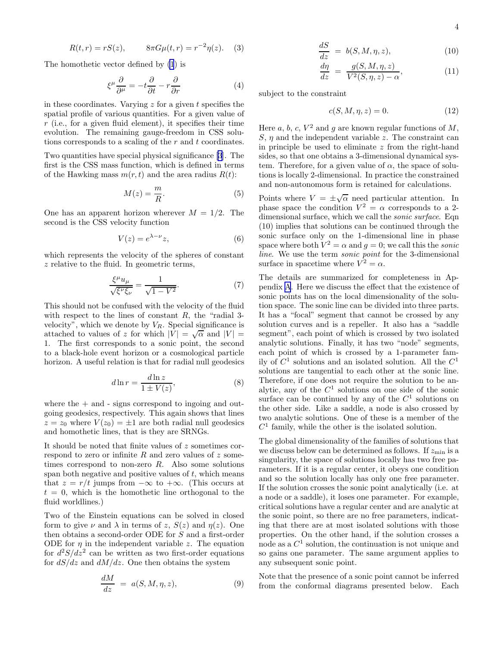$$
R(t,r) = rS(z), \qquad 8\pi G\mu(t,r) = r^{-2}\eta(z). \tag{3}
$$

<span id="page-3-0"></span>The homothetic vector defined by [\(1](#page-0-0)) is

$$
\xi^{\mu}\frac{\partial}{\partial^{\mu}} = -t\frac{\partial}{\partial t} - r\frac{\partial}{\partial r}
$$
 (4)

in these coordinates. Varying  $z$  for a given  $t$  specifies the spatial profile of various quantities. For a given value of  $r$  (i.e., for a given fluid element), it specifies their time evolution. The remaining gauge-freedom in CSS solutions corresponds to a scaling of the r and t coordinates.

Two quantities have special physical significance [\[3](#page-13-0)]. The first is the CSS mass function, which is defined in terms of the Hawking mass  $m(r, t)$  and the area radius  $R(t)$ :

$$
M(z) = \frac{m}{R}.\tag{5}
$$

One has an apparent horizon wherever  $M = 1/2$ . The second is the CSS velocity function

$$
V(z) = e^{\lambda - \nu} z,\tag{6}
$$

which represents the velocity of the spheres of constant z relative to the fluid. In geometric terms,

$$
\frac{\xi^{\mu}u_{\mu}}{\sqrt{\xi^{\nu}\xi_{\nu}}} = \frac{1}{\sqrt{1 - V^2}}.\tag{7}
$$

This should not be confused with the velocity of the fluid with respect to the lines of constant  $R$ , the "radial 3velocity", which we denote by  $V_R$ . Special significance is attached to values of z for which  $|V| = \sqrt{\alpha}$  and  $|V| =$ 1. The first corresponds to a sonic point, the second to a black-hole event horizon or a cosmological particle horizon. A useful relation is that for radial null geodesics

$$
d\ln r = \frac{d\ln z}{1 \pm V(z)},\tag{8}
$$

where the  $+$  and  $-$  signs correspond to ingoing and outgoing geodesics, respectively. This again shows that lines  $z = z_0$  where  $V(z_0) = \pm 1$  are both radial null geodesics and homothetic lines, that is they are SRNGs.

It should be noted that finite values of z sometimes correspond to zero or infinite  $R$  and zero values of  $z$  sometimes correspond to non-zero  $R$ . Also some solutions span both negative and positive values of  $t$ , which means that  $z = r/t$  jumps from  $-\infty$  to  $+\infty$ . (This occurs at  $t = 0$ , which is the homothetic line orthogonal to the fluid worldlines.)

Two of the Einstein equations can be solved in closed form to give  $\nu$  and  $\lambda$  in terms of z,  $S(z)$  and  $\eta(z)$ . One then obtains a second-order ODE for S and a first-order ODE for  $\eta$  in the independent variable z. The equation for  $d^2S/dz^2$  can be written as two first-order equations for  $dS/dz$  and  $dM/dz$ . One then obtains the system

$$
\frac{dM}{dz} = a(S, M, \eta, z), \tag{9}
$$

$$
\frac{dS}{dz} = b(S, M, \eta, z), \tag{10}
$$

$$
\frac{d\eta}{dz} = \frac{g(S, M, \eta, z)}{V^2(S, \eta, z) - \alpha},\tag{11}
$$

subject to the constraint

$$
c(S, M, \eta, z) = 0.
$$
\n<sup>(12)</sup>

Here a, b, c,  $V^2$  and g are known regular functions of M,  $S, \eta$  and the independent variable z. The constraint can in principle be used to eliminate  $z$  from the right-hand sides, so that one obtains a 3-dimensional dynamical system. Therefore, for a given value of  $\alpha$ , the space of solutions is locally 2-dimensional. In practice the constrained and non-autonomous form is retained for calculations.

Points where  $V = \pm \sqrt{\alpha}$  need particular attention. In phase space the condition  $V^2 = \alpha$  corresponds to a 2dimensional surface, which we call the *sonic surface*. Eqn (10) implies that solutions can be continued through the sonic surface only on the 1-dimensional line in phase space where both  $V^2 = \alpha$  and  $g = 0$ ; we call this the *sonic* line. We use the term sonic point for the 3-dimensional surface in spacetime where  $V^2 = \alpha$ .

The details are summarized for completeness in Appendix [A](#page-12-0). Here we discuss the effect that the existence of sonic points has on the local dimensionality of the solution space. The sonic line can be divided into three parts. It has a "focal" segment that cannot be crossed by any solution curves and is a repeller. It also has a "saddle segment", each point of which is crossed by two isolated analytic solutions. Finally, it has two "node" segments, each point of which is crossed by a 1-parameter family of  $C^1$  solutions and an isolated solution. All the  $C^1$ solutions are tangential to each other at the sonic line. Therefore, if one does not require the solution to be analytic, any of the  $C<sup>1</sup>$  solutions on one side of the sonic surface can be continued by any of the  $C<sup>1</sup>$  solutions on the other side. Like a saddle, a node is also crossed by two analytic solutions. One of these is a member of the  $C<sup>1</sup>$  family, while the other is the isolated solution.

The global dimensionality of the families of solutions that we discuss below can be determined as follows. If  $z_{\text{min}}$  is a singularity, the space of solutions locally has two free parameters. If it is a regular center, it obeys one condition and so the solution locally has only one free parameter. If the solution crosses the sonic point analytically (i.e. at a node or a saddle), it loses one parameter. For example, critical solutions have a regular center and are analytic at the sonic point, so there are no free parameters, indicating that there are at most isolated solutions with those properties. On the other hand, if the solution crosses a node as a  $C^1$  solution, the continuation is not unique and so gains one parameter. The same argument applies to any subsequent sonic point.

Note that the presence of a sonic point cannot be inferred from the conformal diagrams presented below. Each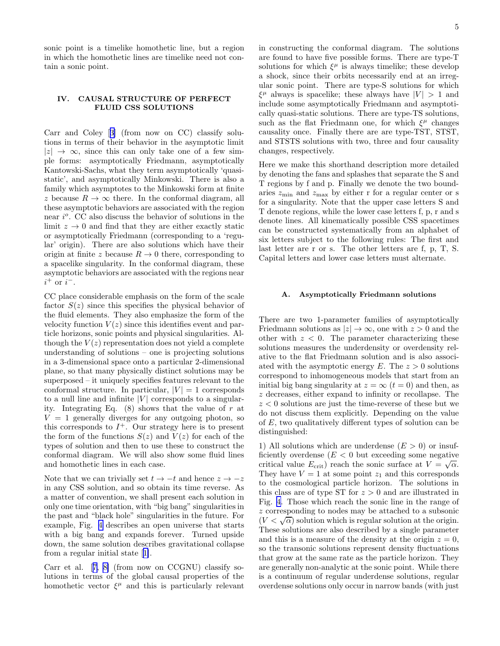<span id="page-4-0"></span>sonic point is a timelike homothetic line, but a region in which the homothetic lines are timelike need not contain a sonic point.

## IV. CAUSAL STRUCTURE OF PERFECT FLUID CSS SOLUTIONS

Carr and Coley[[3\]](#page-13-0) (from now on CC) classify solutions in terms of their behavior in the asymptotic limit  $|z| \rightarrow \infty$ , since this can only take one of a few simple forms: asymptotically Friedmann, asymptotically Kantowski-Sachs, what they term asymptotically 'quasistatic', and asymptotically Minkowski. There is also a family which asymptotes to the Minkowski form at finite z because  $R \to \infty$  there. In the conformal diagram, all these asymptotic behaviors are associated with the region near  $i^o$ . CC also discuss the behavior of solutions in the limit  $z \to 0$  and find that they are either exactly static or asymptotically Friedmann (corresponding to a 'regular' origin). There are also solutions which have their origin at finite z because  $R \to 0$  there, corresponding to a spacelike singularity. In the conformal diagram, these asymptotic behaviors are associated with the regions near  $i^+$  or  $i^-$ .

CC place considerable emphasis on the form of the scale factor  $S(z)$  since this specifies the physical behavior of the fluid elements. They also emphasize the form of the velocity function  $V(z)$  since this identifies event and particle horizons, sonic points and physical singularities. Although the  $V(z)$  representation does not yield a complete understanding of solutions – one is projecting solutions in a 3-dimensional space onto a particular 2-dimensional plane, so that many physically distinct solutions may be superposed – it uniquely specifies features relevant to the conformal structure. In particular,  $|V| = 1$  corresponds to a null line and infinite  $|V|$  corresponds to a singularity. Integrating Eq.  $(8)$  shows that the value of r at  $V = 1$  generally diverges for any outgoing photon, so this corresponds to  $I^+$ . Our strategy here is to present the form of the functions  $S(z)$  and  $V(z)$  for each of the types of solution and then to use these to construct the conformal diagram. We will also show some fluid lines and homothetic lines in each case.

Note that we can trivially set  $t \to -t$  and hence  $z \to -z$ in any CSS solution, and so obtain its time reverse. As a matter of convention, we shall present each solution in only one time orientation, with "big bang" singularities in the past and "black hole" singularities in the future. For example, Fig. [4](#page-5-0) describes an open universe that starts with a big bang and expands forever. Turned upside down, the same solution describes gravitational collapse from a regular initial state[[1\]](#page-13-0).

Carr et al.[[7, 8\]](#page-13-0) (from now on CCGNU) classify solutions in terms of the global causal properties of the homothetic vector  $\xi^{\mu}$  and this is particularly relevant in constructing the conformal diagram. The solutions are found to have five possible forms. There are type-T solutions for which  $\xi^{\mu}$  is always timelike; these develop a shock, since their orbits necessarily end at an irregular sonic point. There are type-S solutions for which  $\xi^{\mu}$  always is spacelike; these always have  $|V| > 1$  and include some asymptotically Friedmann and asymptotically quasi-static solutions. There are type-TS solutions, such as the flat Friedmann one, for which  $\xi^{\mu}$  changes causality once. Finally there are are type-TST, STST, and STSTS solutions with two, three and four causality changes, respectively.

Here we make this shorthand description more detailed by denoting the fans and splashes that separate the S and T regions by f and p. Finally we denote the two boundaries  $z_{\text{min}}$  and  $z_{\text{max}}$  by either r for a regular center or s for a singularity. Note that the upper case letters S and T denote regions, while the lower case letters f, p, r and s denote lines. All kinematically possible CSS spacetimes can be constructed systematically from an alphabet of six letters subject to the following rules: The first and last letter are r or s. The other letters are f, p, T, S. Capital letters and lower case letters must alternate.

#### A. Asymptotically Friedmann solutions

There are two 1-parameter families of asymptotically Friedmann solutions as  $|z| \to \infty$ , one with  $z > 0$  and the other with  $z < 0$ . The parameter characterizing these solutions measures the underdensity or overdensity relative to the flat Friedmann solution and is also associated with the asymptotic energy  $E$ . The  $z > 0$  solutions correspond to inhomogeneous models that start from an initial big bang singularity at  $z = \infty$   $(t = 0)$  and then, as z decreases, either expand to infinity or recollapse. The  $z < 0$  solutions are just the time-reverse of these but we do not discuss them explicitly. Depending on the value of E, two qualitatively different types of solution can be distinguished:

1) All solutions which are underdense  $(E > 0)$  or insufficiently overdense  $(E < 0$  but exceeding some negative critical value  $E_{\text{crit}}$ ) reach the sonic surface at  $V = \sqrt{\alpha}$ . They have  $V = 1$  at some point  $z_1$  and this corresponds to the cosmological particle horizon. The solutions in this class are of type ST for  $z > 0$  and are illustrated in Fig. [4.](#page-5-0) Those which reach the sonic line in the range of z corresponding to nodes may be attached to a subsonic  $(V < \sqrt{\alpha})$  solution which is regular solution at the origin. These solutions are also described by a single parameter and this is a measure of the density at the origin  $z = 0$ , so the transonic solutions represent density fluctuations that grow at the same rate as the particle horizon. They are generally non-analytic at the sonic point. While there is a continuum of regular underdense solutions, regular overdense solutions only occur in narrow bands (with just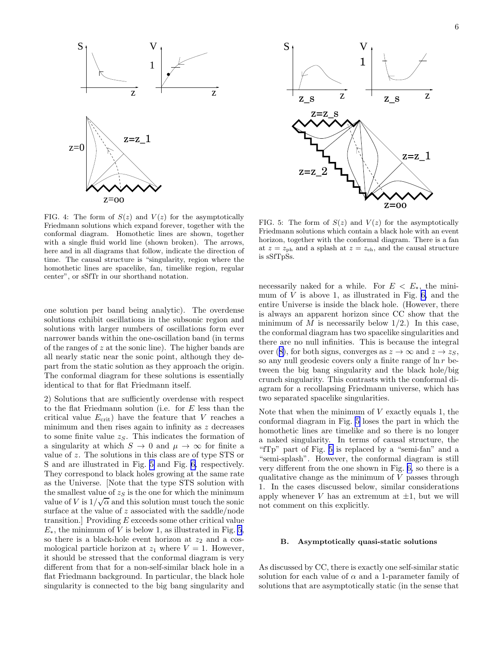<span id="page-5-0"></span>

FIG. 4: The form of  $S(z)$  and  $V(z)$  for the asymptotically Friedmann solutions which expand forever, together with the conformal diagram. Homothetic lines are shown, together with a single fluid world line (shown broken). The arrows, here and in all diagrams that follow, indicate the direction of time. The causal structure is "singularity, region where the homothetic lines are spacelike, fan, timelike region, regular center", or sSfTr in our shorthand notation.

one solution per band being analytic). The overdense solutions exhibit oscillations in the subsonic region and solutions with larger numbers of oscillations form ever narrower bands within the one-oscillation band (in terms of the ranges of  $z$  at the sonic line). The higher bands are all nearly static near the sonic point, although they depart from the static solution as they approach the origin. The conformal diagram for these solutions is essentially identical to that for flat Friedmann itself.

2) Solutions that are sufficiently overdense with respect to the flat Friedmann solution (i.e. for E less than the critical value  $E_{\text{crit}}$ ) have the feature that V reaches a minimum and then rises again to infinity as  $z$  decreases to some finite value  $z_S$ . This indicates the formation of a singularity at which  $S \to 0$  and  $\mu \to \infty$  for finite a value of z. The solutions in this class are of type STS or S and are illustrated in Fig. 5 and Fig. [6](#page-6-0), respectively. They correspond to black holes growing at the same rate as the Universe. [Note that the type STS solution with the smallest value of  $z<sub>S</sub>$  is the one for which the minimum value of V is  $1/\sqrt{\alpha}$  and this solution must touch the sonic surface at the value of z associated with the saddle/node transition.] Providing E exceeds some other critical value  $E_*$ , the minimum of V is below 1, as illustrated in Fig. 5, so there is a black-hole event horizon at  $z_2$  and a cosmological particle horizon at  $z_1$  where  $V = 1$ . However, it should be stressed that the conformal diagram is very different from that for a non-self-similar black hole in a flat Friedmann background. In particular, the black hole singularity is connected to the big bang singularity and



FIG. 5: The form of  $S(z)$  and  $V(z)$  for the asymptotically Friedmann solutions which contain a black hole with an event horizon, together with the conformal diagram. There is a fan at  $z = z_{ph}$  and a splash at  $z = z_{eh}$ , and the causal structure is sSfTpSs.

necessarily naked for a while. For  $E < E^*$ , the minimum of  $V$  is above 1, as illustrated in Fig. [6,](#page-6-0) and the entire Universe is inside the black hole. (However, there is always an apparent horizon since CC show that the minimum of M is necessarily below  $1/2$ .) In this case, the conformal diagram has two spacelike singularities and there are no null infinities. This is because the integral over([8\)](#page-3-0), for both signs, converges as  $z \to \infty$  and  $z \to z_S$ , so any null geodesic covers only a finite range of  $\ln r$  between the big bang singularity and the black hole/big crunch singularity. This contrasts with the conformal diagram for a recollapsing Friedmann universe, which has two separated spacelike singularities.

Note that when the minimum of  $V$  exactly equals 1, the conformal diagram in Fig. 5 loses the part in which the homothetic lines are timelike and so there is no longer a naked singularity. In terms of causal structure, the "fTp" part of Fig. 5 is replaced by a "semi-fan" and a "semi-splash". However, the conformal diagram is still very different from the one shown in Fig. [6,](#page-6-0) so there is a qualitative change as the minimum of V passes through 1. In the cases discussed below, similar considerations apply whenever V has an extremum at  $\pm 1$ , but we will not comment on this explicitly.

#### B. Asymptotically quasi-static solutions

As discussed by CC, there is exactly one self-similar static solution for each value of  $\alpha$  and a 1-parameter family of solutions that are asymptotically static (in the sense that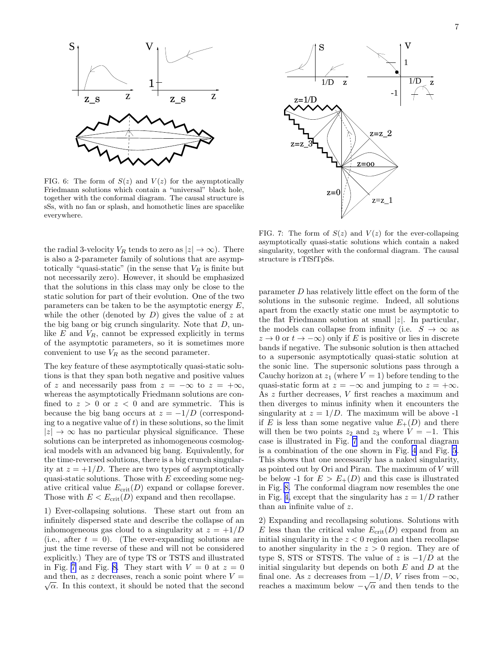<span id="page-6-0"></span>

FIG. 6: The form of  $S(z)$  and  $V(z)$  for the asymptotically Friedmann solutions which contain a "universal" black hole, together with the conformal diagram. The causal structure is sSs, with no fan or splash, and homothetic lines are spacelike everywhere.

the radial 3-velocity  $V_R$  tends to zero as  $|z| \to \infty$ ). There is also a 2-parameter family of solutions that are asymptotically "quasi-static" (in the sense that  $V_R$  is finite but not necessarily zero). However, it should be emphasized that the solutions in this class may only be close to the static solution for part of their evolution. One of the two parameters can be taken to be the asymptotic energy  $E$ , while the other (denoted by  $D$ ) gives the value of z at the big bang or big crunch singularity. Note that  $D$ , unlike  $E$  and  $V_R$ , cannot be expressed explicitly in terms of the asymptotic parameters, so it is sometimes more convenient to use  $V_R$  as the second parameter.

The key feature of these asymptotically quasi-static solutions is that they span both negative and positive values of z and necessarily pass from  $z = -\infty$  to  $z = +\infty$ , whereas the asymptotically Friedmann solutions are confined to  $z > 0$  or  $z < 0$  and are symmetric. This is because the big bang occurs at  $z = -1/D$  (corresponding to a negative value of  $t$ ) in these solutions, so the limit  $|z| \to \infty$  has no particular physical significance. These solutions can be interpreted as inhomogeneous cosmological models with an advanced big bang. Equivalently, for the time-reversed solutions, there is a big crunch singularity at  $z = \pm 1/D$ . There are two types of asymptotically quasi-static solutions. Those with  $E$  exceeding some negative critical value  $E_{\text{crit}}(D)$  expand or collapse forever. Those with  $E < E_{\rm crit}(D)$  expand and then recollapse.

1) Ever-collapsing solutions. These start out from an infinitely dispersed state and describe the collapse of an inhomogeneous gas cloud to a singularity at  $z = +1/D$ (i.e., after  $t = 0$ ). (The ever-expanding solutions are just the time reverse of these and will not be considered explicitly.) They are of type TS or TSTS and illustrated in Fig. 7 and Fig. [8.](#page-7-0) They start with  $V = 0$  at  $z = 0$ and then, as z decreases, reach a sonic point where  $V =$  $\sqrt{\alpha}$ . In this context, it should be noted that the second



FIG. 7: The form of  $S(z)$  and  $V(z)$  for the ever-collapsing asymptotically quasi-static solutions which contain a naked singularity, together with the conformal diagram. The causal structure is rTfSfTpSs.

parameter D has relatively little effect on the form of the solutions in the subsonic regime. Indeed, all solutions apart from the exactly static one must be asymptotic to the flat Friedmann solution at small  $|z|$ . In particular, the models can collapse from infinity (i.e.  $S \rightarrow \infty$  as  $z \to 0$  or  $t \to -\infty$ ) only if E is positive or lies in discrete bands if negative. The subsonic solution is then attached to a supersonic asymptotically quasi-static solution at the sonic line. The supersonic solutions pass through a Cauchy horizon at  $z_1$  (where  $V = 1$ ) before tending to the quasi-static form at  $z = -\infty$  and jumping to  $z = +\infty$ . As z further decreases, V first reaches a maximum and then diverges to minus infinity when it encounters the singularity at  $z = 1/D$ . The maximum will be above -1 if E is less than some negative value  $E_+(D)$  and there will then be two points  $z_2$  and  $z_3$  where  $V = -1$ . This case is illustrated in Fig. 7 and the conformal diagram is a combination of the one shown in Fig. [4](#page-5-0) and Fig. [5](#page-5-0). This shows that one necessarily has a naked singularity, as pointed out by Ori and Piran. The maximum of V will be below -1 for  $E > E_+(D)$  and this case is illustrated in Fig. [8.](#page-7-0) The conformal diagram now resembles the one in Fig. [4,](#page-5-0) except that the singularity has  $z = 1/D$  rather than an infinite value of z.

2) Expanding and recollapsing solutions. Solutions with E less than the critical value  $E_{\text{crit}}(D)$  expand from an initial singularity in the  $z < 0$  region and then recollapse to another singularity in the  $z > 0$  region. They are of type S, STS or STSTS. The value of z is  $-1/D$  at the initial singularity but depends on both  $E$  and  $D$  at the final one. As z decreases from  $-1/D$ , V rises from  $-\infty$ , reaches a maximum below  $-\sqrt{\alpha}$  and then tends to the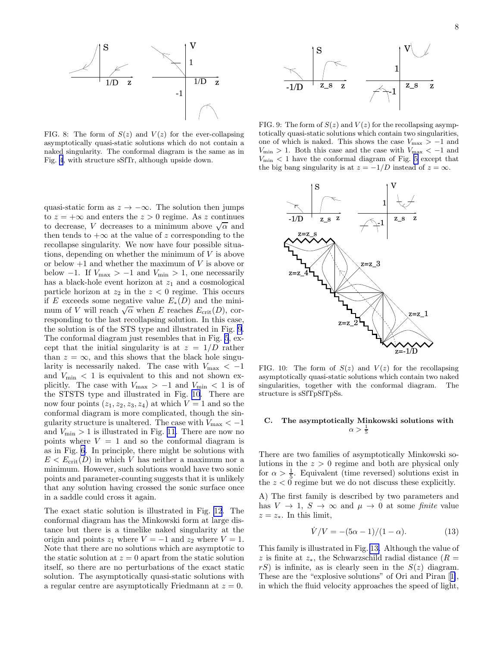<span id="page-7-0"></span>

FIG. 8: The form of  $S(z)$  and  $V(z)$  for the ever-collapsing asymptotically quasi-static solutions which do not contain a naked singularity. The conformal diagram is the same as in Fig. [4](#page-5-0), with structure sSfTr, although upside down.

quasi-static form as  $z \to -\infty$ . The solution then jumps to  $z = +\infty$  and enters the  $z > 0$  regime. As z continues to decrease, V decreases to a minimum above  $\sqrt{\alpha}$  and then tends to  $+\infty$  at the value of z corresponding to the recollapse singularity. We now have four possible situations, depending on whether the minimum of  $V$  is above or below  $+1$  and whether the maximum of  $V$  is above or below  $-1$ . If  $V_{\text{max}} > -1$  and  $V_{\text{min}} > 1$ , one necessarily has a black-hole event horizon at  $z_1$  and a cosmological particle horizon at  $z_2$  in the  $z < 0$  regime. This occurs if E exceeds some negative value  $E_*(D)$  and the minimum of V will reach  $\sqrt{\alpha}$  when E reaches  $E_{\text{crit}}(D)$ , corresponding to the last recollapsing solution. In this case, the solution is of the STS type and illustrated in Fig. 9. The conformal diagram just resembles that in Fig. [5](#page-5-0), except that the initial singularity is at  $z = 1/D$  rather than  $z = \infty$ , and this shows that the black hole singularity is necessarily naked. The case with  $V_{\text{max}} < -1$ and  $V_{\text{min}}$  < 1 is equivalent to this and not shown explicitly. The case with  $V_{\text{max}} > -1$  and  $V_{\text{min}} < 1$  is of the STSTS type and illustrated in Fig. 10. There are now four points  $(z_1, z_2, z_3, z_4)$  at which  $V = 1$  and so the conformal diagram is more complicated, though the singularity structure is unaltered. The case with  $V_{\text{max}} < -1$ and  $V_{\text{min}} > 1$  is illustrated in Fig. [11.](#page-8-0) There are now no points where  $V = 1$  and so the conformal diagram is as in Fig. [6](#page-6-0). In principle, there might be solutions with  $E < E_{\text{crit}}(D)$  in which V has neither a maximum nor a minimum. However, such solutions would have two sonic points and parameter-counting suggests that it is unlikely that any solution having crossed the sonic surface once in a saddle could cross it again.

The exact static solution is illustrated in Fig. [12](#page-8-0). The conformal diagram has the Minkowski form at large distance but there is a timelike naked singularity at the origin and points  $z_1$  where  $V = -1$  and  $z_2$  where  $V = 1$ . Note that there are no solutions which are asymptotic to the static solution at  $z = 0$  apart from the static solution itself, so there are no perturbations of the exact static solution. The asymptotically quasi-static solutions with a regular centre are asymptotically Friedmann at  $z = 0$ .



FIG. 9: The form of  $S(z)$  and  $V(z)$  for the recollapsing asymptotically quasi-static solutions which contain two singularities, one of which is naked. This shows the case  $V_{\text{max}} > -1$  and  $V_{\text{min}} > 1$ . Both this case and the case with  $V_{\text{max}} < -1$  and  $V_{\text{min}}$  < 1 have the conformal diagram of Fig. [5](#page-5-0) except that the big bang singularity is at  $z = -1/D$  instead of  $z = \infty$ .



FIG. 10: The form of  $S(z)$  and  $V(z)$  for the recollapsing asymptotically quasi-static solutions which contain two naked singularities, together with the conformal diagram. The structure is sSfTpSfTpSs.

## C. The asymptotically Minkowski solutions with  $\alpha > \frac{1}{5}$

There are two families of asymptotically Minkowski solutions in the  $z > 0$  regime and both are physical only for  $\alpha > \frac{1}{5}$ . Equivalent (time reversed) solutions exist in the  $z < 0$  regime but we do not discuss these explicitly.

A) The first family is described by two parameters and has  $V \to 1$ ,  $S \to \infty$  and  $\mu \to 0$  at some finite value  $z = z_*$ . In this limit,

$$
\dot{V}/V = -(5\alpha - 1)/(1 - \alpha). \tag{13}
$$

This family is illustrated in Fig. [13.](#page-9-0) Although the value of z is finite at  $z_*$ , the Schwarzschild radial distance  $(R =$  $rS$ ) is infinite, as is clearly seen in the  $S(z)$  diagram. These are the "explosive solutions" of Ori and Piran[[1\]](#page-13-0), in which the fluid velocity approaches the speed of light,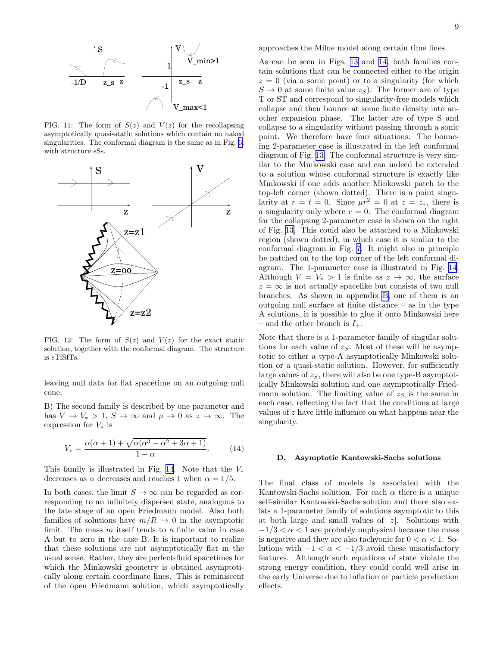<span id="page-8-0"></span>

FIG. 11: The form of  $S(z)$  and  $V(z)$  for the recollapsing asymptotically quasi-static solutions which contain no naked singularities. The conformal diagram is the same as in Fig. [6,](#page-6-0) with structure sSs.



FIG. 12: The form of  $S(z)$  and  $V(z)$  for the exact static solution, together with the conformal diagram. The structure is sTfSfTs.

leaving null data for flat spacetime on an outgoing null cone.

B) The second family is described by one parameter and has  $V \to V_* > 1$ ,  $S \to \infty$  and  $\mu \to 0$  as  $z \to \infty$ . The expression for  $V_*$  is

$$
V_* = \frac{\alpha(\alpha+1) + \sqrt{\alpha(\alpha^3 - \alpha^2 + 3\alpha + 1)}}{1 - \alpha}.
$$
 (14)

This family is illustrated in Fig. [14.](#page-9-0) Note that the  $V_*$ decreases as  $\alpha$  decreases and reaches 1 when  $\alpha = 1/5$ .

In both cases, the limit  $S \to \infty$  can be regarded as corresponding to an infinitely dispersed state, analogous to the late stage of an open Friedmann model. Also both families of solutions have  $m/R \rightarrow 0$  in the asymptotic limit. The mass  $m$  itself tends to a finite value in case A but to zero in the case B. It is important to realize that these solutions are not asymptotically flat in the usual sense. Rather, they are perfect-fluid spacetimes for which the Minkowski geometry is obtained asymptotically along certain coordinate lines. This is reminiscent of the open Friedmann solution, which asymptotically

approaches the Milne model along certain time lines.

As can be seen in Figs. [13](#page-9-0) and [14,](#page-9-0) both families contain solutions that can be connected either to the origin  $z = 0$  (via a sonic point) or to a singularity (for which  $S \to 0$  at some finite value  $z_S$ ). The former are of type T or ST and correspond to singularity-free models which collapse and then bounce at some finite density into another expansion phase. The latter are of type S and collapse to a singularity without passing through a sonic point. We therefore have four situations. The bouncing 2-parameter case is illustrated in the left conformal diagram of Fig. [13.](#page-9-0) The conformal structure is very similar to the Minkowski case and can indeed be extended to a solution whose conformal structure is exactly like Minkowski if one adds another Minkowski patch to the top-left corner (shown dotted). There is a point singularity at  $r = t = 0$ . Since  $\mu r^2 = 0$  at  $z = z_*$ , there is a singularity only where  $r = 0$ . The conformal diagram for the collapsing 2-parameter case is shown on the right of Fig. [13.](#page-9-0) This could also be attached to a Minkowski region (shown dotted), in which case it is similar to the conformal diagram in Fig. [7.](#page-6-0) It might also in principle be patched on to the top corner of the left conformal diagram. The 1-parameter case is illustrated in Fig. [14](#page-9-0). Although  $V = V_* > 1$  is finite as  $z \to \infty$ , the surface  $z = \infty$  is not actually spacelike but consists of two null branches. As shown in appendix [B,](#page-12-0) one of them is an outgoing null surface at finite distance – as in the type A solutions, it is possible to glue it onto Minkowski here – and the other branch is  $I_{+}$ .

Note that there is a 1-parameter family of singular solutions for each value of  $z_s$ . Most of these will be asymptotic to either a type-A asymptotically Minkowski solution or a quasi-static solution. However, for sufficiently large values of  $z_S$ , there will also be one type-B asymptotically Minkowski solution and one asymptotically Friedmann solution. The limiting value of  $z<sub>S</sub>$  is the same in each case, reflecting the fact that the conditions at large values of z have little influence on what happens near the singularity.

#### D. Asymptotic Kantowski-Sachs solutions

The final class of models is associated with the Kantowski-Sachs solution. For each  $\alpha$  there is a unique self-similar Kantowski-Sachs solution and there also exists a 1-parameter family of solutions asymptotic to this at both large and small values of  $|z|$ . Solutions with  $-1/3 < \alpha < 1$  are probably unphysical because the mass is negative and they are also tachyonic for  $0 < \alpha < 1$ . Solutions with  $-1 < \alpha < -1/3$  avoid these unsatisfactory features. Although such equations of state violate the strong energy condition, they could could well arise in the early Universe due to inflation or particle production effects.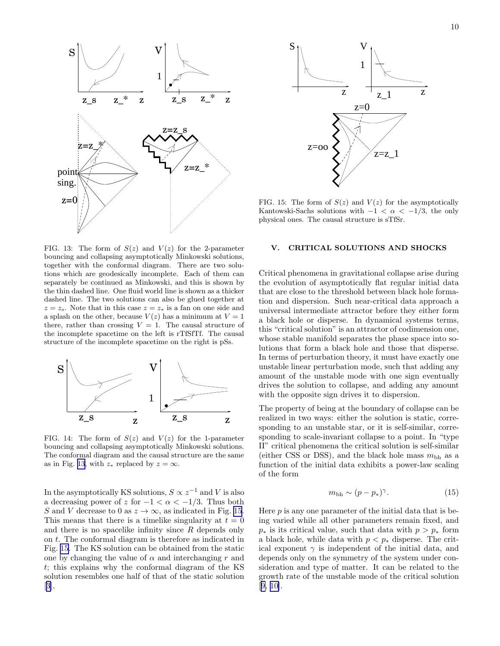<span id="page-9-0"></span>

FIG. 13: The form of  $S(z)$  and  $V(z)$  for the 2-parameter bouncing and collapsing asymptotically Minkowski solutions, together with the conformal diagram. There are two solutions which are geodesically incomplete. Each of them can separately be continued as Minkowski, and this is shown by the thin dashed line. One fluid world line is shown as a thicker dashed line. The two solutions can also be glued together at  $z = z_s$ . Note that in this case  $z = z_*$  is a fan on one side and a splash on the other, because  $V(z)$  has a minimum at  $V = 1$ there, rather than crossing  $V = 1$ . The causal structure of the incomplete spacetime on the left is rTfSfTf. The causal structure of the incomplete spacetime on the right is pSs.



FIG. 14: The form of  $S(z)$  and  $V(z)$  for the 1-parameter bouncing and collapsing asymptotically Minkowski solutions. The conformal diagram and the causal structure are the same as in Fig. 13, with  $z_*$  replaced by  $z = \infty$ .

In the asymptotically KS solutions,  $S \propto z^{-1}$  and V is also a decreasing power of z for  $-1 < \alpha < -1/3$ . Thus both S and V decrease to 0 as  $z \to \infty$ , as indicated in Fig. 15. This means that there is a timelike singularity at  $t = 0$ and there is no spacelike infinity since  $R$  depends only on t. The conformal diagram is therefore as indicated in Fig. 15. The KS solution can be obtained from the static one by changing the value of  $\alpha$  and interchanging r and t; this explains why the conformal diagram of the KS solution resembles one half of that of the static solution [[3\]](#page-13-0).



FIG. 15: The form of  $S(z)$  and  $V(z)$  for the asymptotically Kantowski-Sachs solutions with  $-1 < \alpha < -1/3$ , the only physical ones. The causal structure is sTfSr.

## V. CRITICAL SOLUTIONS AND SHOCKS

Critical phenomena in gravitational collapse arise during the evolution of asymptotically flat regular initial data that are close to the threshold between black hole formation and dispersion. Such near-critical data approach a universal intermediate attractor before they either form a black hole or disperse. In dynamical systems terms, this "critical solution" is an attractor of codimension one, whose stable manifold separates the phase space into solutions that form a black hole and those that disperse. In terms of perturbation theory, it must have exactly one unstable linear perturbation mode, such that adding any amount of the unstable mode with one sign eventually drives the solution to collapse, and adding any amount with the opposite sign drives it to dispersion.

The property of being at the boundary of collapse can be realized in two ways: either the solution is static, corresponding to an unstable star, or it is self-similar, corresponding to scale-invariant collapse to a point. In "type II" critical phenomena the critical solution is self-similar (either CSS or DSS), and the black hole mass  $m_{\text{bh}}$  as a function of the initial data exhibits a power-law scaling of the form

$$
m_{\rm bh} \sim (p - p_*)^{\gamma}.
$$
 (15)

Here  $p$  is any one parameter of the initial data that is being varied while all other parameters remain fixed, and  $p_*$  is its critical value, such that data with  $p > p_*$  form a black hole, while data with  $p < p_*$  disperse. The critical exponent  $\gamma$  is independent of the initial data, and depends only on the symmetry of the system under consideration and type of matter. It can be related to the growth rate of the unstable mode of the critical solution [[9, 10\]](#page-13-0).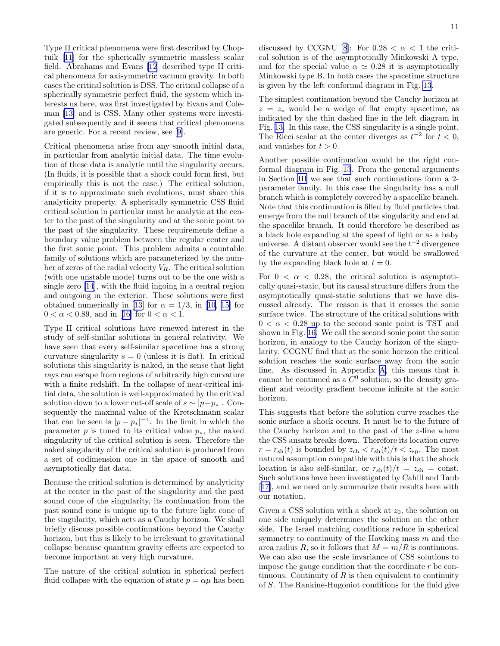Type II critical phenomena were first described by Choptuik[[11\]](#page-13-0) for the spherically symmetric massless scalar field. Abrahams and Evans [\[12](#page-13-0)] described type II critical phenomena for axisymmetric vacuum gravity. In both cases the critical solution is DSS. The critical collapse of a spherically symmetric perfect fluid, the system which interests us here, was first investigated by Evans and Coleman [\[13\]](#page-13-0) and is CSS. Many other systems were investigated subsequently and it seems that critical phenomena are generic. For a recent review, see [\[9\]](#page-13-0).

Critical phenomena arise from any smooth initial data, in particular from analytic initial data. The time evolution of these data is analytic until the singularity occurs. (In fluids, it is possible that a shock could form first, but empirically this is not the case.) The critical solution, if it is to approximate such evolutions, must share this analyticity property. A spherically symmetric CSS fluid critical solution in particular must be analytic at the center to the past of the singularity and at the sonic point to the past of the singularity. These requirements define a boundary value problem between the regular center and the first sonic point. This problem admits a countable family of solutions which are parameterized by the number of zeros of the radial velocity  $V_R$ . The critical solution (with one unstable mode) turns out to be the one with a single zero [\[14](#page-13-0)], with the fluid ingoing in a central region and outgoing in the exterior. These solutions were first obtained numerically in [\[13](#page-13-0)] for  $\alpha = 1/3$ , in [\[10, 15\]](#page-13-0) for  $0 < \alpha < 0.89$  $0 < \alpha < 0.89$  $0 < \alpha < 0.89$ , and in [[16\]](#page-13-0) for  $0 < \alpha < 1$ .

Type II critical solutions have renewed interest in the study of self-similar solutions in general relativity. We have seen that every self-similar spacetime has a strong curvature singularity  $s = 0$  (unless it is flat). In critical solutions this singularity is naked, in the sense that light rays can escape from regions of arbitrarily high curvature with a finite redshift. In the collapse of near-critical initial data, the solution is well-approximated by the critical solution down to a lower cut-off scale of  $s \sim |p-p_*|$ . Consequently the maximal value of the Kretschmann scalar that can be seen is  $|p - p_*|^{-4}$ . In the limit in which the parameter  $p$  is tuned to its critical value  $p_*,$  the naked singularity of the critical solution is seen. Therefore the naked singularity of the critical solution is produced from a set of codimension one in the space of smooth and asymptotically flat data.

Because the critical solution is determined by analyticity at the center in the past of the singularity and the past sound cone of the singularity, its continuation from the past sound cone is unique up to the future light cone of the singularity, which acts as a Cauchy horizon. We shall briefly discuss possible continuations beyond the Cauchy horizon, but this is likely to be irrelevant to gravitational collapse because quantum gravity effects are expected to become important at very high curvature.

The nature of the critical solution in spherical perfect fluid collapse with the equation of state  $p = \alpha \mu$  has been discussed by CCGNU [\[8](#page-13-0)]: For  $0.28 < \alpha < 1$  the critical solution is of the asymptotically Minkowski A type, and for the special value  $\alpha \simeq 0.28$  it is asymptotically Minkowski type B. In both cases the spacetime structure is given by the left conformal diagram in Fig. [13](#page-9-0).

The simplest continuation beyond the Cauchy horizon at  $z = z_*$  would be a wedge of flat empty spacetime, as indicated by the thin dashed line in the left diagram in Fig. [13.](#page-9-0) In this case, the CSS singularity is a single point. The Ricci scalar at the center diverges as  $t^{-2}$  for  $t < 0$ , and vanishes for  $t > 0$ .

Another possible continuation would be the right conformal diagram in Fig. [13](#page-9-0). From the general arguments in Section [III](#page-2-0) we see that such continuations form a 2 parameter family. In this case the singularity has a null branch which is completely covered by a spacelike branch. Note that this continuation is filled by fluid particles that emerge from the null branch of the singularity and end at the spacelike branch. It could therefore be described as a black hole expanding at the speed of light or as a baby universe. A distant observer would see the  $t^{-2}$  divergence of the curvature at the center, but would be swallowed by the expanding black hole at  $t = 0$ .

For  $0 < \alpha < 0.28$ , the critical solution is asymptotically quasi-static, but its causal structure differs from the asymptotically quasi-static solutions that we have discussed already. The reason is that it crosses the sonic surface twice. The structure of the critical solutions with  $0 < \alpha < 0.28$  up to the second sonic point is TST and shown in Fig. [16.](#page-11-0) We call the second sonic point the sonic horizon, in analogy to the Cauchy horizon of the singularity. CCGNU find that at the sonic horizon the critical solution reaches the sonic surface away from the sonic line. As discussed in Appendix [A](#page-12-0), this means that it cannot be continued as a  $C^0$  solution, so the density gradient and velocity gradient become infinite at the sonic horizon.

This suggests that before the solution curve reaches the sonic surface a shock occurs. It must be to the future of the Cauchy horizon and to the past of the z-line where the CSS ansatz breaks down. Therefore its location curve  $r = r_{\rm sh}(t)$  is bounded by  $z_{\rm ch} < r_{\rm sh}(t)/t < z_{\rm sp}$ . The most natural assumption compatible with this is that the shock location is also self-similar, or  $r_{\rm sh}(t)/t = z_{\rm sh} = \text{const.}$ Such solutions have been investigated by Cahill and Taub [[17\]](#page-13-0), and we need only summarize their results here with our notation.

Given a CSS solution with a shock at  $z_0$ , the solution on one side uniquely determines the solution on the other side. The Israel matching conditions reduce in spherical symmetry to continuity of the Hawking mass  $m$  and the area radius R, so it follows that  $M = m/R$  is continuous. We can also use the scale invariance of CSS solutions to impose the gauge condition that the coordinate  $r$  be continuous. Continuity of  $R$  is then equivalent to continuity of S. The Rankine-Hugoniot conditions for the fluid give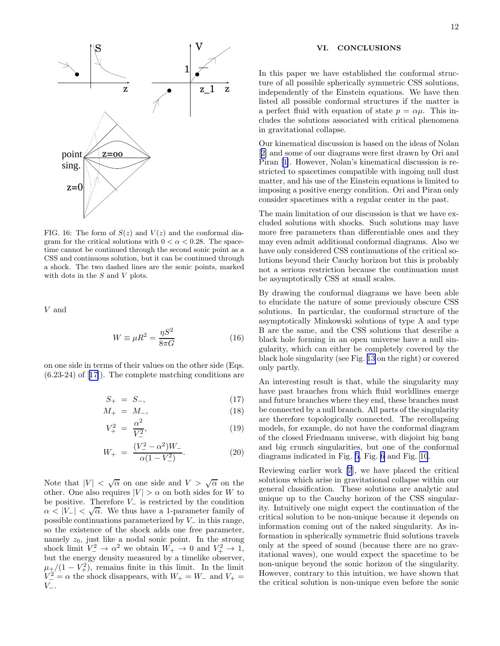<span id="page-11-0"></span>

FIG. 16: The form of  $S(z)$  and  $V(z)$  and the conformal diagram for the critical solutions with  $0 < \alpha < 0.28$ . The spacetime cannot be continued through the second sonic point as a CSS and continuous solution, but it can be continued through a shock. The two dashed lines are the sonic points, marked with dots in the  $S$  and  $V$  plots.

V and

$$
W \equiv \mu R^2 = \frac{\eta S^2}{8\pi G} \tag{16}
$$

on one side in terms of their values on the other side (Eqs.  $(6.23-24)$ of [[17\]](#page-13-0)). The complete matching conditions are

$$
S_+ = S_-, \tag{17}
$$

$$
M_+ = M_-, \tag{18}
$$

$$
V_{+}^{2} = \frac{\alpha^{2}}{V_{-}^{2}},\tag{19}
$$

$$
W_{+} = \frac{(V_{-}^{2} - \alpha^{2})W_{-}}{\alpha(1 - V_{-}^{2})}.
$$
 (20)

Note that  $|V| < \sqrt{\alpha}$  on one side and  $V > \sqrt{\alpha}$  on the other. One also requires  $|V| > \alpha$  on both sides for W to be positive. Therefore  $V_-\$  is restricted by the condition  $\alpha$  <  $|V_-|$  <  $\sqrt{\alpha}$ . We thus have a 1-parameter family of possible continuations parameterized by  $V_-\$  in this range, so the existence of the shock adds one free parameter, namely  $z_0$ , just like a nodal sonic point. In the strong shock limit  $V^2 \to \alpha^2$  we obtain  $W_+ \to 0$  and  $V_+^2 \to 1$ , but the energy density measured by a timelike observer,  $\mu_{+}/(1-V_{+}^2)$ , remains finite in this limit. In the limit  $V_{-}^{2} = \alpha$  the shock disappears, with  $W_{+} = W_{-}$  and  $V_{+} =$  $V_-\,$ 

## VI. CONCLUSIONS

In this paper we have established the conformal structure of all possible spherically symmetric CSS solutions, independently of the Einstein equations. We have then listed all possible conformal structures if the matter is a perfect fluid with equation of state  $p = \alpha \mu$ . This includes the solutions associated with critical phenomena in gravitational collapse.

Our kinematical discussion is based on the ideas of Nolan [[2\]](#page-13-0) and some of our diagrams were first drawn by Ori and Piran [\[1\]](#page-13-0). However, Nolan's kinematical discussion is restricted to spacetimes compatible with ingoing null dust matter, and his use of the Einstein equations is limited to imposing a positive energy condition. Ori and Piran only consider spacetimes with a regular center in the past.

The main limitation of our discussion is that we have excluded solutions with shocks. Such solutions may have more free parameters than differentiable ones and they may even admit additional conformal diagrams. Also we have only considered CSS continuations of the critical solutions beyond their Cauchy horizon but this is probably not a serious restriction because the continuation must be asymptotically CSS at small scales.

By drawing the conformal diagrams we have been able to elucidate the nature of some previously obscure CSS solutions. In particular, the conformal structure of the asymptotically Minkowski solutions of type A and type B are the same, and the CSS solutions that describe a black hole forming in an open universe have a null singularity, which can either be completely covered by the black hole singularity (see Fig. [13](#page-9-0) on the right) or covered only partly.

An interesting result is that, while the singularity may have past branches from which fluid worldlines emerge and future branches where they end, these branches must be connected by a null branch. All parts of the singularity are therefore topologically connected. The recollapsing models, for example, do not have the conformal diagram of the closed Friedmann universe, with disjoint big bang and big crunch singularities, but one of the conformal diagrams indicated in Fig. [5,](#page-5-0) Fig. [6](#page-6-0) and Fig. [10](#page-7-0).

Reviewing earlier work [\[7](#page-13-0)], we have placed the critical solutions which arise in gravitational collapse within our general classification. These solutions are analytic and unique up to the Cauchy horizon of the CSS singularity. Intuitively one might expect the continuation of the critical solution to be non-unique because it depends on information coming out of the naked singularity. As information in spherically symmetric fluid solutions travels only at the speed of sound (because there are no gravitational waves), one would expect the spacetime to be non-unique beyond the sonic horizon of the singularity. However, contrary to this intuition, we have shown that the critical solution is non-unique even before the sonic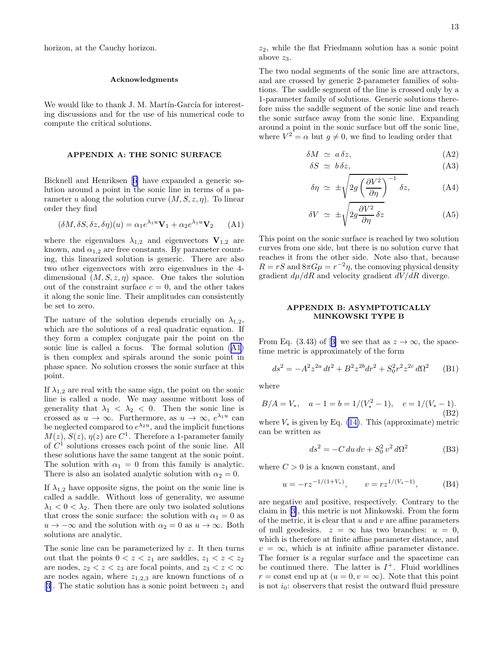<span id="page-12-0"></span>horizon, at the Cauchy horizon.

## Acknowledgments

We would like to thank J. M. Martín-García for interesting discussions and for the use of his numerical code to compute the critical solutions.

## APPENDIX A: THE SONIC SURFACE

Bicknell and Henriksen[[6\]](#page-13-0) have expanded a generic solution around a point in the sonic line in terms of a parameter u along the solution curve  $(M, S, z, \eta)$ . To linear order they find

$$
(\delta M, \delta S, \delta z, \delta \eta)(u) = \alpha_1 e^{\lambda_1 u} \mathbf{V}_1 + \alpha_2 e^{\lambda_1 u} \mathbf{V}_2 \tag{A1}
$$

where the eigenvalues  $\lambda_{1,2}$  and eigenvectors  $V_{1,2}$  are known, and  $\alpha_{1,2}$  are free constants. By parameter counting, this linearized solution is generic. There are also two other eigenvectors with zero eigenvalues in the 4 dimensional  $(M, S, z, \eta)$  space. One takes the solution out of the constraint surface  $c = 0$ , and the other takes it along the sonic line. Their amplitudes can consistently be set to zero.

The nature of the solution depends crucially on  $\lambda_{1,2}$ , which are the solutions of a real quadratic equation. If they form a complex conjugate pair the point on the sonic line is called a focus. The formal solution (A1) is then complex and spirals around the sonic point in phase space. No solution crosses the sonic surface at this point.

If  $\lambda_{1,2}$  are real with the same sign, the point on the sonic line is called a node. We may assume without loss of generality that  $\lambda_1 < \lambda_2 < 0$ . Then the sonic line is crossed as  $u \to \infty$ . Furthermore, as  $u \to \infty$ ,  $e^{\lambda_1 u}$  can be neglected compared to  $e^{\lambda_2 u}$ , and the implicit functions  $M(z)$ ,  $S(z)$ ,  $\eta(z)$  are  $C<sup>1</sup>$ . Therefore a 1-parameter family of  $C<sup>1</sup>$  solutions crosses each point of the sonic line. All these solutions have the same tangent at the sonic point. The solution with  $\alpha_1 = 0$  from this family is analytic. There is also an isolated analytic solution with  $\alpha_2 = 0$ .

If  $\lambda_{1,2}$  have opposite signs, the point on the sonic line is called a saddle. Without loss of generality, we assume  $\lambda_1 < 0 < \lambda_2$ . Then there are only two isolated solutions that cross the sonic surface: the solution with  $\alpha_1 = 0$  as  $u \to -\infty$  and the solution with  $\alpha_2 = 0$  as  $u \to \infty$ . Both solutions are analytic.

The sonic line can be parameterized by z. It then turns out that the points  $0 < z < z_1$  are saddles,  $z_1 < z < z_2$ are nodes,  $z_2 < z < z_3$  are focal points, and  $z_3 < z < \infty$ are nodes again, where  $z_{1,2,3}$  are known functions of  $\alpha$ [[3\]](#page-13-0). The static solution has a sonic point between  $z_1$  and  $z_2$ , while the flat Friedmann solution has a sonic point above  $z_3$ .

The two nodal segments of the sonic line are attractors, and are crossed by generic 2-parameter families of solutions. The saddle segment of the line is crossed only by a 1-parameter family of solutions. Generic solutions therefore miss the saddle segment of the sonic line and reach the sonic surface away from the sonic line. Expanding around a point in the sonic surface but off the sonic line, where  $V^2 = \alpha$  but  $g \neq 0$ , we find to leading order that

$$
\delta M \simeq a \,\delta z,\tag{A2}
$$

$$
\delta S \simeq b \,\delta z,\tag{A3}
$$

$$
\delta \eta \simeq \pm \sqrt{2g \left(\frac{\partial V^2}{\partial \eta}\right)^{-1} \delta z}, \tag{A4}
$$

$$
\delta V \simeq \pm \sqrt{2g \frac{\partial V^2}{\partial \eta} \delta z} \tag{A5}
$$

This point on the sonic surface is reached by two solution curves from one side, but there is no solution curve that reaches it from the other side. Note also that, because  $R = rS$  and  $8\pi G\mu = r^{-2}\eta$ , the comoving physical density gradient  $d\mu/dR$  and velocity gradient  $dV/dR$  diverge.

### APPENDIX B: ASYMPTOTICALLY MINKOWSKI TYPE B

FromEq. (3.43) of [[3\]](#page-13-0) we see that as  $z \to \infty$ , the spacetime metric is approximately of the form

$$
ds^{2} = -A^{2}z^{2a} dt^{2} + B^{2}z^{2b} dr^{2} + S_{0}^{2}r^{2}z^{2c} d\Omega^{2}
$$
 (B1)

where

$$
B/A = V_*, \quad a - 1 = b = 1/(V_*^2 - 1), \quad c = 1/(V_* - 1).
$$
\n(B2)

where  $V_*$  is given by Eq. [\(14\)](#page-8-0). This (approximate) metric can be written as

$$
ds^{2} = -C du dv + S_{0}^{2} v^{2} d\Omega^{2}
$$
 (B3)

where  $C > 0$  is a known constant, and

$$
u = -rz^{-1/(1+V_*)}, \qquad v = rz^{1/(V_*-1)}, \tag{B4}
$$

are negative and positive, respectively. Contrary to the claim in[[3\]](#page-13-0), this metric is not Minkowski. From the form of the metric, it is clear that  $u$  and  $v$  are affine parameters of null geodesics.  $z = \infty$  has two branches:  $u = 0$ , which is therefore at finite affine parameter distance, and  $v = \infty$ , which is at infinite affine parameter distance. The former is a regular surface and the spacetime can be continued there. The latter is  $I^+$ . Fluid worldlines  $r =$ const end up at  $(u = 0, v = \infty)$ . Note that this point is not  $i_0$ : observers that resist the outward fluid pressure